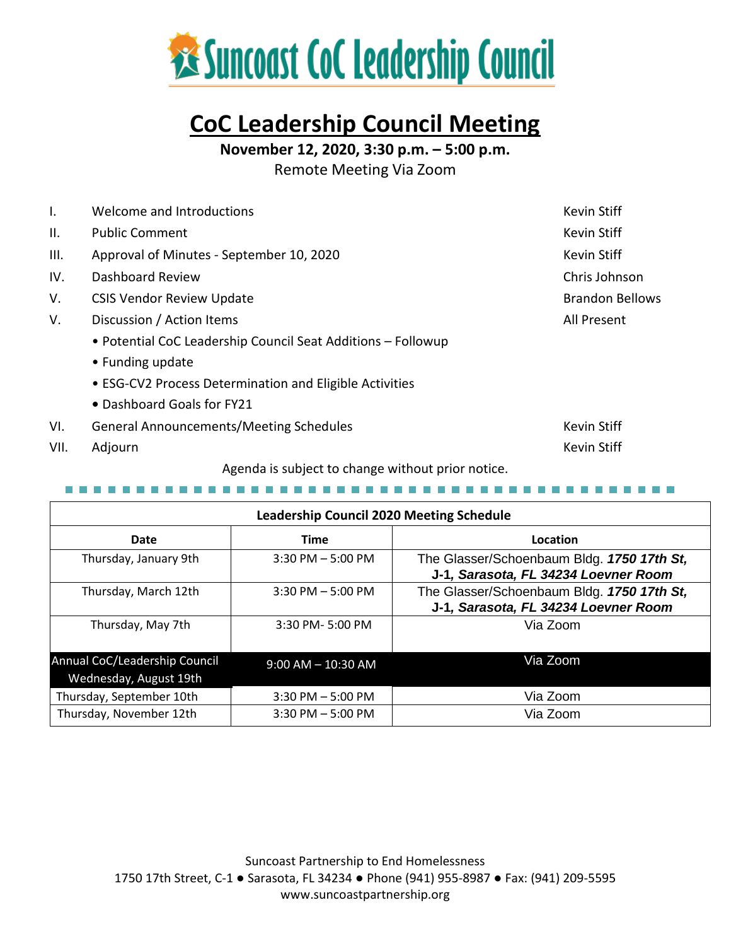

# **CoC Leadership Council Meeting**

**November 12, 2020, 3:30 p.m. – 5:00 p.m.**

Remote Meeting Via Zoom

| Ι.                                                | Welcome and Introductions                                    | Kevin Stiff            |  |  |  |
|---------------------------------------------------|--------------------------------------------------------------|------------------------|--|--|--|
| Ш.                                                | <b>Public Comment</b>                                        | Kevin Stiff            |  |  |  |
| III.                                              | Approval of Minutes - September 10, 2020                     | Kevin Stiff            |  |  |  |
| IV.                                               | Dashboard Review                                             | Chris Johnson          |  |  |  |
| V.                                                | <b>CSIS Vendor Review Update</b>                             | <b>Brandon Bellows</b> |  |  |  |
| V.                                                | Discussion / Action Items                                    | All Present            |  |  |  |
|                                                   | • Potential CoC Leadership Council Seat Additions - Followup |                        |  |  |  |
|                                                   | • Funding update                                             |                        |  |  |  |
|                                                   | • ESG-CV2 Process Determination and Eligible Activities      |                        |  |  |  |
|                                                   | • Dashboard Goals for FY21                                   |                        |  |  |  |
| VI.                                               | <b>General Announcements/Meeting Schedules</b>               | Kevin Stiff            |  |  |  |
| VII.                                              | Adjourn                                                      | <b>Kevin Stiff</b>     |  |  |  |
| Agenda is subject to change without prior notice. |                                                              |                        |  |  |  |

| <b>Leadership Council 2020 Meeting Schedule</b>         |                        |                                                                                    |  |  |  |
|---------------------------------------------------------|------------------------|------------------------------------------------------------------------------------|--|--|--|
| Date                                                    | <b>Time</b>            | Location                                                                           |  |  |  |
| Thursday, January 9th                                   | $3:30$ PM $-5:00$ PM   | The Glasser/Schoenbaum Bldg. 1750 17th St,<br>J-1, Sarasota, FL 34234 Loevner Room |  |  |  |
| Thursday, March 12th                                    | $3:30$ PM $-5:00$ PM   | The Glasser/Schoenbaum Bldg. 1750 17th St,<br>J-1, Sarasota, FL 34234 Loevner Room |  |  |  |
| Thursday, May 7th                                       | 3:30 PM-5:00 PM        | Via Zoom                                                                           |  |  |  |
| Annual CoC/Leadership Council<br>Wednesday, August 19th | $9:00$ AM $- 10:30$ AM | Via Zoom                                                                           |  |  |  |
| Thursday, September 10th                                | $3:30$ PM $-5:00$ PM   | Via Zoom                                                                           |  |  |  |
| Thursday, November 12th                                 | $3:30$ PM $-5:00$ PM   | Via Zoom                                                                           |  |  |  |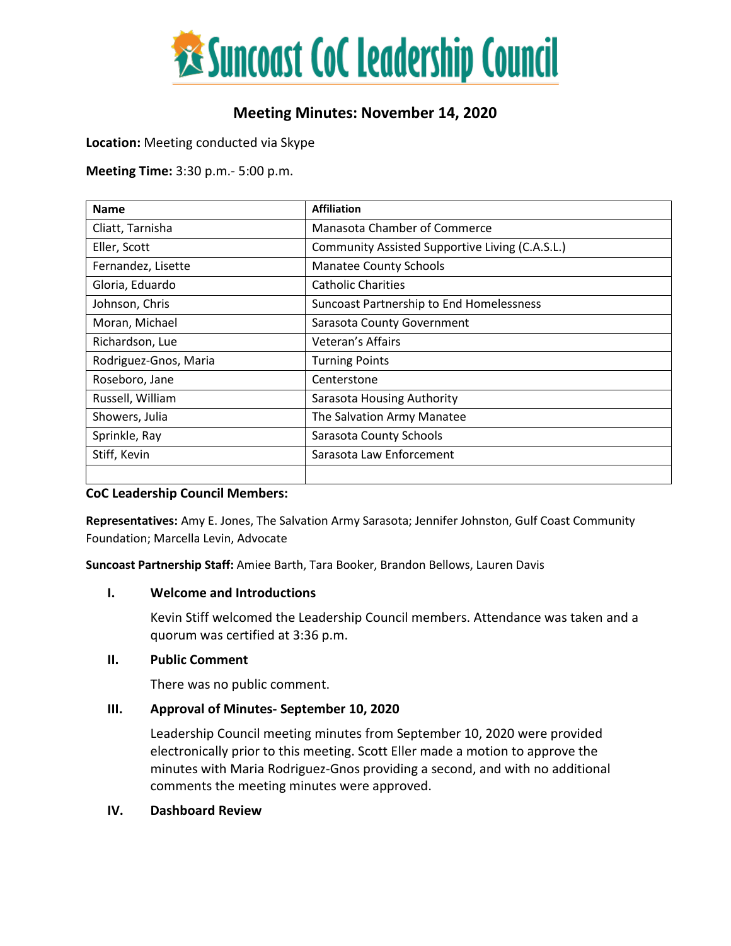

# **Meeting Minutes: November 14, 2020**

**Location:** Meeting conducted via Skype

**Meeting Time:** 3:30 p.m.- 5:00 p.m.

| <b>Name</b>           | <b>Affiliation</b>                              |  |
|-----------------------|-------------------------------------------------|--|
| Cliatt, Tarnisha      | Manasota Chamber of Commerce                    |  |
| Eller, Scott          | Community Assisted Supportive Living (C.A.S.L.) |  |
| Fernandez, Lisette    | <b>Manatee County Schools</b>                   |  |
| Gloria, Eduardo       | <b>Catholic Charities</b>                       |  |
| Johnson, Chris        | Suncoast Partnership to End Homelessness        |  |
| Moran, Michael        | Sarasota County Government                      |  |
| Richardson, Lue       | Veteran's Affairs                               |  |
| Rodriguez-Gnos, Maria | <b>Turning Points</b>                           |  |
| Roseboro, Jane        | Centerstone                                     |  |
| Russell, William      | Sarasota Housing Authority                      |  |
| Showers, Julia        | The Salvation Army Manatee                      |  |
| Sprinkle, Ray         | Sarasota County Schools                         |  |
| Stiff, Kevin          | Sarasota Law Enforcement                        |  |
|                       |                                                 |  |

#### **CoC Leadership Council Members:**

**Representatives:** Amy E. Jones, The Salvation Army Sarasota; Jennifer Johnston, Gulf Coast Community Foundation; Marcella Levin, Advocate

**Suncoast Partnership Staff:** Amiee Barth, Tara Booker, Brandon Bellows, Lauren Davis

#### **I. Welcome and Introductions**

Kevin Stiff welcomed the Leadership Council members. Attendance was taken and a quorum was certified at 3:36 p.m.

### **II. Public Comment**

There was no public comment.

### **III. Approval of Minutes- September 10, 2020**

Leadership Council meeting minutes from September 10, 2020 were provided electronically prior to this meeting. Scott Eller made a motion to approve the minutes with Maria Rodriguez-Gnos providing a second, and with no additional comments the meeting minutes were approved.

#### **IV. Dashboard Review**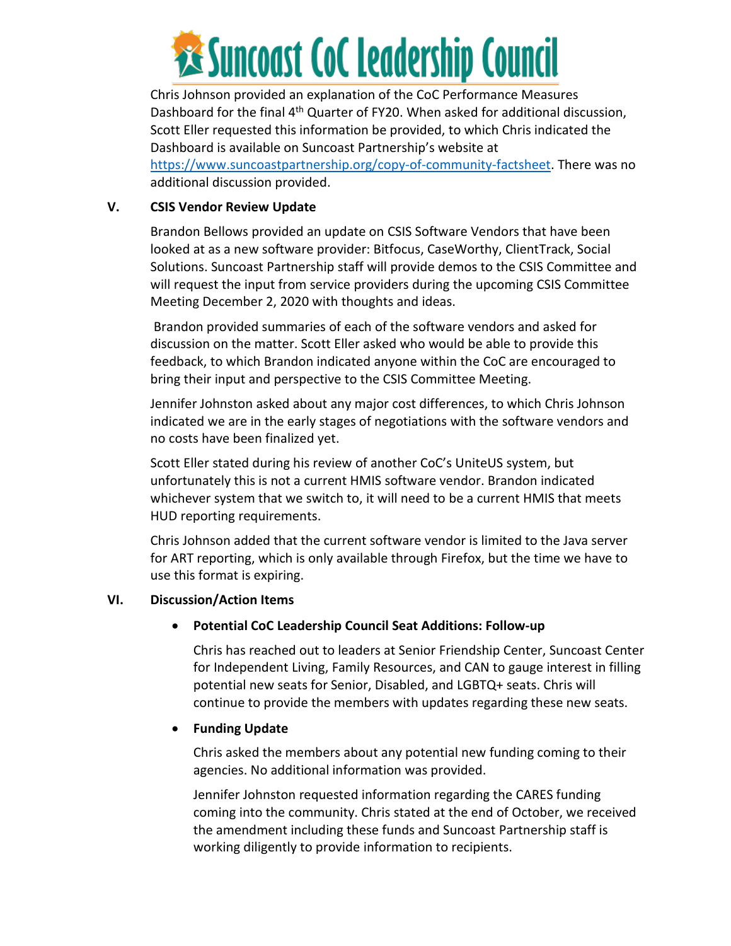

Chris Johnson provided an explanation of the CoC Performance Measures Dashboard for the final 4<sup>th</sup> Quarter of FY20. When asked for additional discussion, Scott Eller requested this information be provided, to which Chris indicated the Dashboard is available on Suncoast Partnership's website at [https://www.suncoastpartnership.org/copy-of-community-factsheet.](https://www.suncoastpartnership.org/copy-of-community-factsheet) There was no additional discussion provided.

# **V. CSIS Vendor Review Update**

Brandon Bellows provided an update on CSIS Software Vendors that have been looked at as a new software provider: Bitfocus, CaseWorthy, ClientTrack, Social Solutions. Suncoast Partnership staff will provide demos to the CSIS Committee and will request the input from service providers during the upcoming CSIS Committee Meeting December 2, 2020 with thoughts and ideas.

Brandon provided summaries of each of the software vendors and asked for discussion on the matter. Scott Eller asked who would be able to provide this feedback, to which Brandon indicated anyone within the CoC are encouraged to bring their input and perspective to the CSIS Committee Meeting.

Jennifer Johnston asked about any major cost differences, to which Chris Johnson indicated we are in the early stages of negotiations with the software vendors and no costs have been finalized yet.

Scott Eller stated during his review of another CoC's UniteUS system, but unfortunately this is not a current HMIS software vendor. Brandon indicated whichever system that we switch to, it will need to be a current HMIS that meets HUD reporting requirements.

Chris Johnson added that the current software vendor is limited to the Java server for ART reporting, which is only available through Firefox, but the time we have to use this format is expiring.

# **VI. Discussion/Action Items**

# • **Potential CoC Leadership Council Seat Additions: Follow-up**

Chris has reached out to leaders at Senior Friendship Center, Suncoast Center for Independent Living, Family Resources, and CAN to gauge interest in filling potential new seats for Senior, Disabled, and LGBTQ+ seats. Chris will continue to provide the members with updates regarding these new seats.

# • **Funding Update**

Chris asked the members about any potential new funding coming to their agencies. No additional information was provided.

Jennifer Johnston requested information regarding the CARES funding coming into the community. Chris stated at the end of October, we received the amendment including these funds and Suncoast Partnership staff is working diligently to provide information to recipients.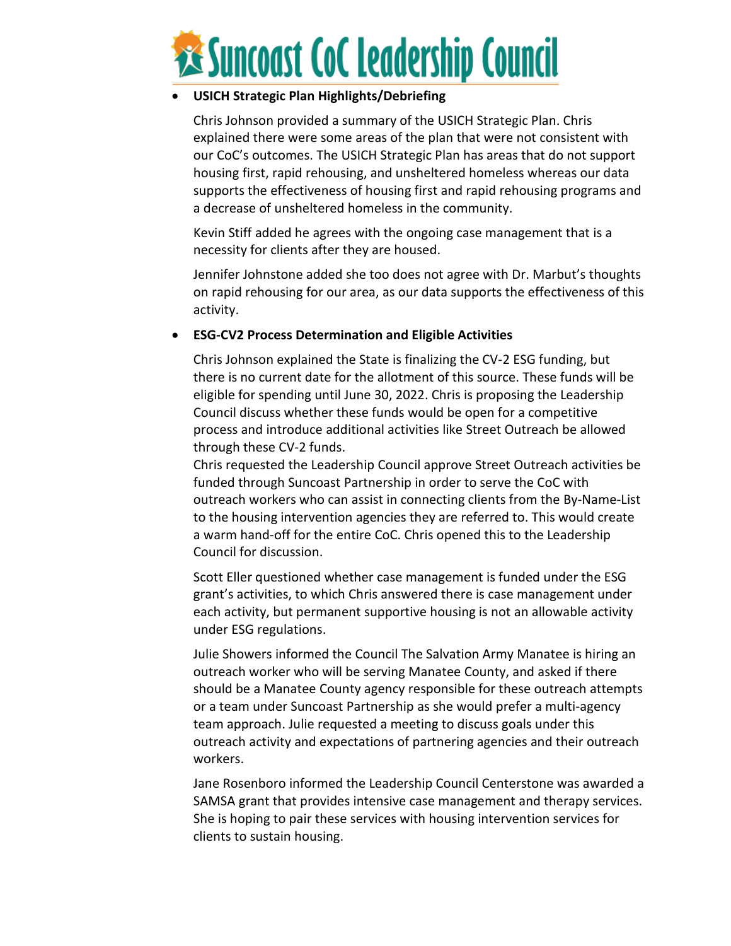

# • **USICH Strategic Plan Highlights/Debriefing**

Chris Johnson provided a summary of the USICH Strategic Plan. Chris explained there were some areas of the plan that were not consistent with our CoC's outcomes. The USICH Strategic Plan has areas that do not support housing first, rapid rehousing, and unsheltered homeless whereas our data supports the effectiveness of housing first and rapid rehousing programs and a decrease of unsheltered homeless in the community.

Kevin Stiff added he agrees with the ongoing case management that is a necessity for clients after they are housed.

Jennifer Johnstone added she too does not agree with Dr. Marbut's thoughts on rapid rehousing for our area, as our data supports the effectiveness of this activity.

## • **ESG-CV2 Process Determination and Eligible Activities**

Chris Johnson explained the State is finalizing the CV-2 ESG funding, but there is no current date for the allotment of this source. These funds will be eligible for spending until June 30, 2022. Chris is proposing the Leadership Council discuss whether these funds would be open for a competitive process and introduce additional activities like Street Outreach be allowed through these CV-2 funds.

Chris requested the Leadership Council approve Street Outreach activities be funded through Suncoast Partnership in order to serve the CoC with outreach workers who can assist in connecting clients from the By-Name-List to the housing intervention agencies they are referred to. This would create a warm hand-off for the entire CoC. Chris opened this to the Leadership Council for discussion.

Scott Eller questioned whether case management is funded under the ESG grant's activities, to which Chris answered there is case management under each activity, but permanent supportive housing is not an allowable activity under ESG regulations.

Julie Showers informed the Council The Salvation Army Manatee is hiring an outreach worker who will be serving Manatee County, and asked if there should be a Manatee County agency responsible for these outreach attempts or a team under Suncoast Partnership as she would prefer a multi-agency team approach. Julie requested a meeting to discuss goals under this outreach activity and expectations of partnering agencies and their outreach workers.

Jane Rosenboro informed the Leadership Council Centerstone was awarded a SAMSA grant that provides intensive case management and therapy services. She is hoping to pair these services with housing intervention services for clients to sustain housing.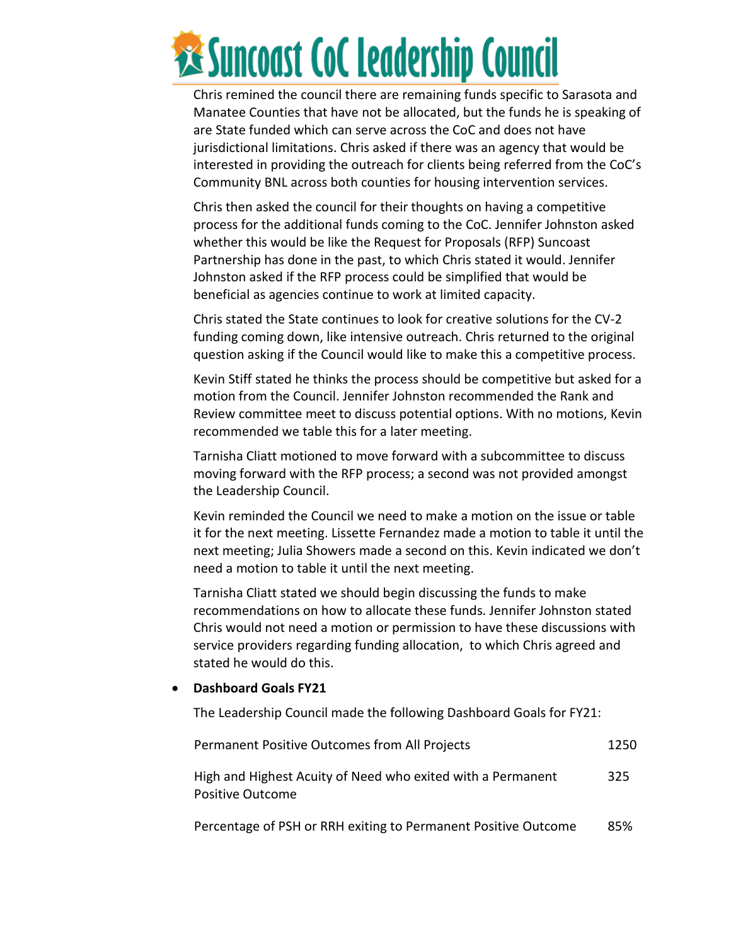

Chris remined the council there are remaining funds specific to Sarasota and Manatee Counties that have not be allocated, but the funds he is speaking of are State funded which can serve across the CoC and does not have jurisdictional limitations. Chris asked if there was an agency that would be interested in providing the outreach for clients being referred from the CoC's Community BNL across both counties for housing intervention services.

Chris then asked the council for their thoughts on having a competitive process for the additional funds coming to the CoC. Jennifer Johnston asked whether this would be like the Request for Proposals (RFP) Suncoast Partnership has done in the past, to which Chris stated it would. Jennifer Johnston asked if the RFP process could be simplified that would be beneficial as agencies continue to work at limited capacity.

Chris stated the State continues to look for creative solutions for the CV-2 funding coming down, like intensive outreach. Chris returned to the original question asking if the Council would like to make this a competitive process.

Kevin Stiff stated he thinks the process should be competitive but asked for a motion from the Council. Jennifer Johnston recommended the Rank and Review committee meet to discuss potential options. With no motions, Kevin recommended we table this for a later meeting.

Tarnisha Cliatt motioned to move forward with a subcommittee to discuss moving forward with the RFP process; a second was not provided amongst the Leadership Council.

Kevin reminded the Council we need to make a motion on the issue or table it for the next meeting. Lissette Fernandez made a motion to table it until the next meeting; Julia Showers made a second on this. Kevin indicated we don't need a motion to table it until the next meeting.

Tarnisha Cliatt stated we should begin discussing the funds to make recommendations on how to allocate these funds. Jennifer Johnston stated Chris would not need a motion or permission to have these discussions with service providers regarding funding allocation, to which Chris agreed and stated he would do this.

#### • **Dashboard Goals FY21**

The Leadership Council made the following Dashboard Goals for FY21:

| <b>Permanent Positive Outcomes from All Projects</b>                                   | 1250 |
|----------------------------------------------------------------------------------------|------|
| High and Highest Acuity of Need who exited with a Permanent<br><b>Positive Outcome</b> | 325  |

Percentage of PSH or RRH exiting to Permanent Positive Outcome 85%